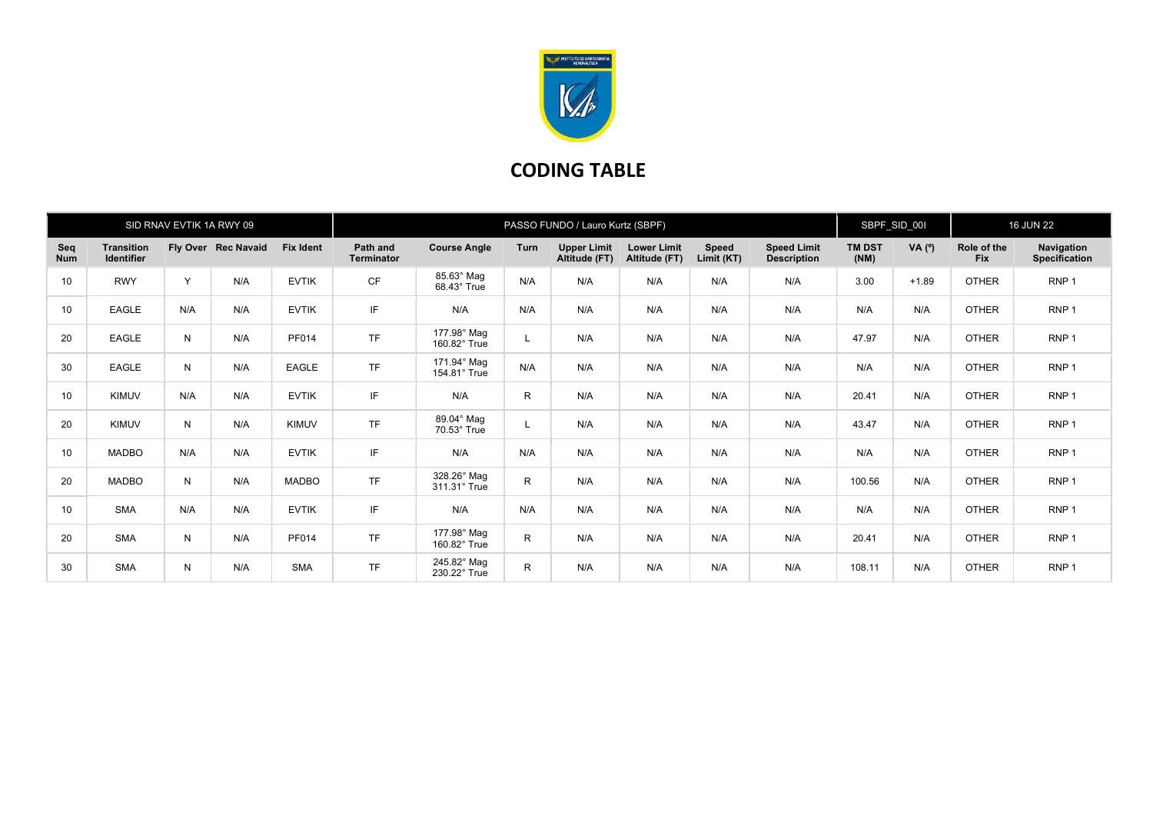

## CODING TABLE

| SID RNAV EVTIK 1A RWY 09 |                                        |     |                     | PASSO FUNDO / Lauro Kurtz (SBPF) |                               |                             |             |                                     |                                     | SBPF_SID_00I        |                                          | <b>16 JUN 22</b>      |          |                           |                             |
|--------------------------|----------------------------------------|-----|---------------------|----------------------------------|-------------------------------|-----------------------------|-------------|-------------------------------------|-------------------------------------|---------------------|------------------------------------------|-----------------------|----------|---------------------------|-----------------------------|
| Seq<br><b>Num</b>        | <b>Transition</b><br><b>Identifier</b> |     | Fly Over Rec Navaid | <b>Fix Ident</b>                 | Path and<br><b>Terminator</b> | <b>Course Angle</b>         | <b>Turn</b> | <b>Upper Limit</b><br>Altitude (FT) | <b>Lower Limit</b><br>Altitude (FT) | Speed<br>Limit (KT) | <b>Speed Limit</b><br><b>Description</b> | <b>TM DST</b><br>(NM) | VA $(°)$ | Role of the<br><b>Fix</b> | Navigation<br>Specification |
| 10 <sup>1</sup>          | <b>RWY</b>                             | Y   | N/A                 | <b>EVTIK</b>                     | CF                            | 85.63° Mag<br>68.43° True   | N/A         | N/A                                 | N/A                                 | N/A                 | N/A                                      | 3.00                  | $+1.89$  | <b>OTHER</b>              | RNP <sub>1</sub>            |
| 10 <sup>°</sup>          | <b>EAGLE</b>                           | N/A | N/A                 | <b>EVTIK</b>                     | IF                            | N/A                         | N/A         | N/A                                 | N/A                                 | N/A                 | N/A                                      | N/A                   | N/A      | <b>OTHER</b>              | RNP <sub>1</sub>            |
| 20                       | <b>EAGLE</b>                           | N   | N/A                 | PF014                            | <b>TF</b>                     | 177.98° Mag<br>160.82° True | L           | N/A                                 | N/A                                 | N/A                 | N/A                                      | 47.97                 | N/A      | <b>OTHER</b>              | RNP <sub>1</sub>            |
| 30                       | <b>EAGLE</b>                           | N   | N/A                 | <b>EAGLE</b>                     | <b>TF</b>                     | 171.94° Mag<br>154.81° True | N/A         | N/A                                 | N/A                                 | N/A                 | N/A                                      | N/A                   | N/A      | <b>OTHER</b>              | RNP <sub>1</sub>            |
| 10 <sup>°</sup>          | <b>KIMUV</b>                           | N/A | N/A                 | <b>EVTIK</b>                     | IF                            | N/A                         | R           | N/A                                 | N/A                                 | N/A                 | N/A                                      | 20.41                 | N/A      | <b>OTHER</b>              | RNP <sub>1</sub>            |
| 20                       | <b>KIMUV</b>                           | N   | N/A                 | <b>KIMUV</b>                     | <b>TF</b>                     | 89.04° Mag<br>70.53° True   | L.          | N/A                                 | N/A                                 | N/A                 | N/A                                      | 43.47                 | N/A      | <b>OTHER</b>              | RNP <sub>1</sub>            |
| 10 <sup>°</sup>          | <b>MADBO</b>                           | N/A | N/A                 | <b>EVTIK</b>                     | IF                            | N/A                         | N/A         | N/A                                 | N/A                                 | N/A                 | N/A                                      | N/A                   | N/A      | <b>OTHER</b>              | RNP <sub>1</sub>            |
| 20                       | <b>MADBO</b>                           | N   | N/A                 | <b>MADBO</b>                     | <b>TF</b>                     | 328.26° Mag<br>311.31° True | R           | N/A                                 | N/A                                 | N/A                 | N/A                                      | 100.56                | N/A      | <b>OTHER</b>              | RNP <sub>1</sub>            |
| 10 <sup>°</sup>          | <b>SMA</b>                             | N/A | N/A                 | <b>EVTIK</b>                     | IF                            | N/A                         | N/A         | N/A                                 | N/A                                 | N/A                 | N/A                                      | N/A                   | N/A      | <b>OTHER</b>              | RNP <sub>1</sub>            |
| 20                       | <b>SMA</b>                             | N   | N/A                 | PF014                            | <b>TF</b>                     | 177.98° Mag<br>160.82° True | R.          | N/A                                 | N/A                                 | N/A                 | N/A                                      | 20.41                 | N/A      | <b>OTHER</b>              | RNP <sub>1</sub>            |
| 30                       | <b>SMA</b>                             | N   | N/A                 | <b>SMA</b>                       | <b>TF</b>                     | 245.82° Mag<br>230.22° True | R.          | N/A                                 | N/A                                 | N/A                 | N/A                                      | 108.11                | N/A      | <b>OTHER</b>              | RNP <sub>1</sub>            |